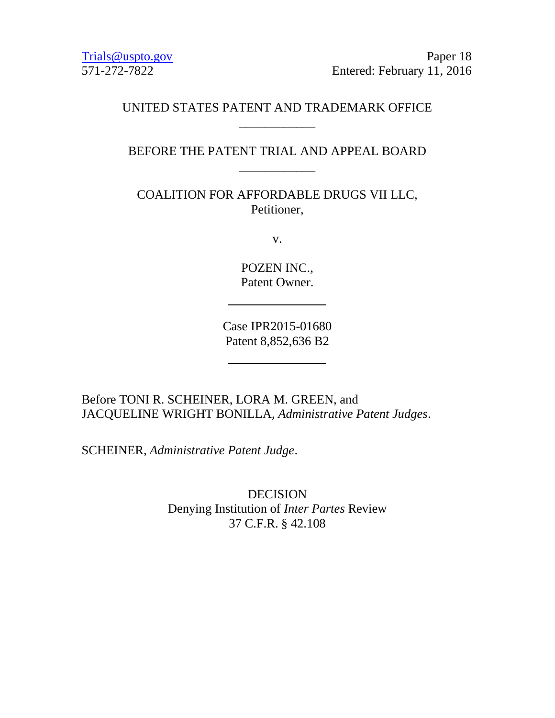[Trials@uspto.gov](mailto:Trials@uspto.gov) Paper 18 571-272-7822 Entered: February 11, 2016

# UNITED STATES PATENT AND TRADEMARK OFFICE \_\_\_\_\_\_\_\_\_\_\_\_

BEFORE THE PATENT TRIAL AND APPEAL BOARD \_\_\_\_\_\_\_\_\_\_\_\_

COALITION FOR AFFORDABLE DRUGS VII LLC, Petitioner,

v.

POZEN INC., Patent Owner.

Case IPR2015-01680 Patent 8,852,636 B2

Before TONI R. SCHEINER, LORA M. GREEN, and JACQUELINE WRIGHT BONILLA, *Administrative Patent Judges*.

SCHEINER, *Administrative Patent Judge*.

DECISION Denying Institution of *Inter Partes* Review 37 C.F.R. § 42.108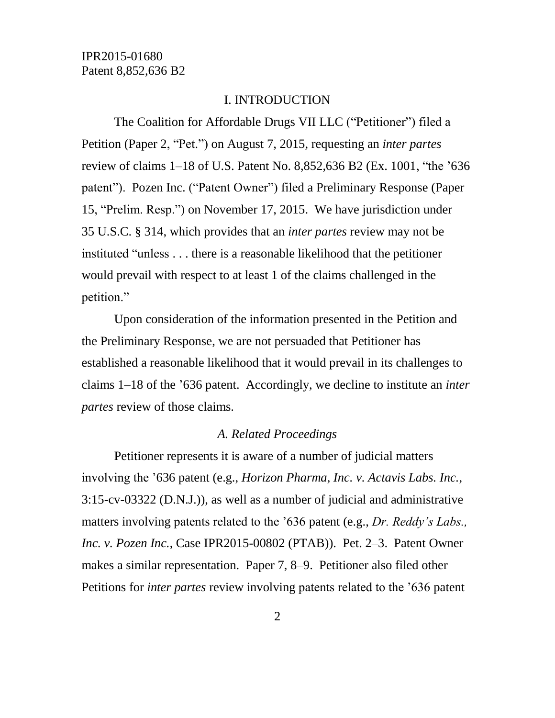#### I. INTRODUCTION

The Coalition for Affordable Drugs VII LLC ("Petitioner") filed a Petition (Paper 2, "Pet.") on August 7, 2015, requesting an *inter partes* review of claims 1–18 of U.S. Patent No. 8,852,636 B2 (Ex. 1001, "the '636 patent"). Pozen Inc. ("Patent Owner") filed a Preliminary Response (Paper 15, "Prelim. Resp.") on November 17, 2015. We have jurisdiction under 35 U.S.C. § 314, which provides that an *inter partes* review may not be instituted "unless . . . there is a reasonable likelihood that the petitioner would prevail with respect to at least 1 of the claims challenged in the petition."

Upon consideration of the information presented in the Petition and the Preliminary Response, we are not persuaded that Petitioner has established a reasonable likelihood that it would prevail in its challenges to claims 1–18 of the '636 patent. Accordingly, we decline to institute an *inter partes* review of those claims.

#### *A. Related Proceedings*

Petitioner represents it is aware of a number of judicial matters involving the '636 patent (e.g., *Horizon Pharma, Inc. v. Actavis Labs. Inc.*, 3:15-cv-03322 (D.N.J.)), as well as a number of judicial and administrative matters involving patents related to the '636 patent (e.g., *Dr. Reddy's Labs., Inc. v. Pozen Inc.*, Case IPR2015-00802 (PTAB)). Pet. 2–3. Patent Owner makes a similar representation. Paper 7, 8–9. Petitioner also filed other Petitions for *inter partes* review involving patents related to the '636 patent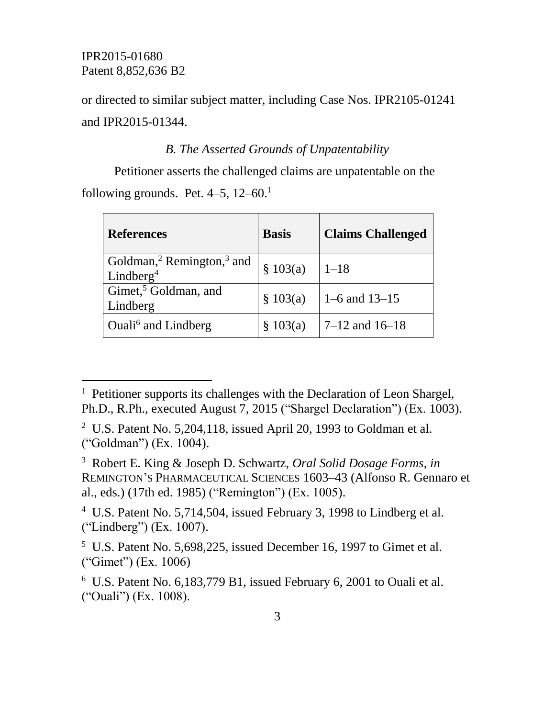l

or directed to similar subject matter, including Case Nos. IPR2105-01241 and IPR2015-01344.

#### *B. The Asserted Grounds of Unpatentability*

Petitioner asserts the challenged claims are unpatentable on the following grounds. Pet.  $4-5$ ,  $12-60$ .<sup>1</sup>

| <b>References</b>                                                          | <b>Basis</b> | <b>Claims Challenged</b> |
|----------------------------------------------------------------------------|--------------|--------------------------|
| Goldman, <sup>2</sup> Remington, <sup>3</sup> and<br>Lindberg <sup>4</sup> | \$103(a)     | $1 - 18$                 |
| Gimet, <sup>5</sup> Goldman, and<br>Lindberg                               | \$103(a)     | $1-6$ and $13-15$        |
| Ouali <sup>6</sup> and Lindberg                                            | \$103(a)     | $7-12$ and $16-18$       |

<sup>4</sup> U.S. Patent No. 5,714,504, issued February 3, 1998 to Lindberg et al. ("Lindberg") (Ex. 1007).

 $5$  U.S. Patent No. 5,698,225, issued December 16, 1997 to Gimet et al. ("Gimet") (Ex. 1006)

<sup>&</sup>lt;sup>1</sup> Petitioner supports its challenges with the Declaration of Leon Shargel, Ph.D., R.Ph., executed August 7, 2015 ("Shargel Declaration") (Ex. 1003).

<sup>&</sup>lt;sup>2</sup> U.S. Patent No. 5,204,118, issued April 20, 1993 to Goldman et al. ("Goldman") (Ex. 1004).

<sup>3</sup> Robert E. King & Joseph D. Schwartz, *Oral Solid Dosage Forms*, *in* REMINGTON'S PHARMACEUTICAL SCIENCES 1603–43 (Alfonso R. Gennaro et al., eds.) (17th ed. 1985) ("Remington") (Ex. 1005).

<sup>6</sup> U.S. Patent No. 6,183,779 B1, issued February 6, 2001 to Ouali et al. ("Ouali") (Ex. 1008).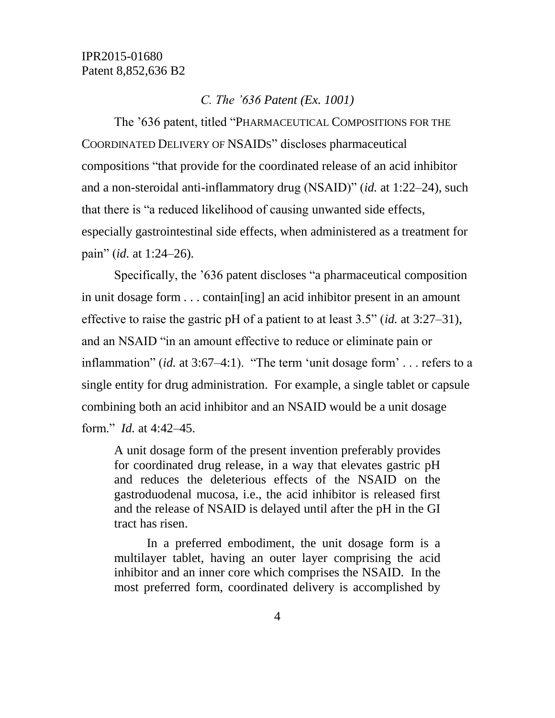#### *C. The '636 Patent (Ex. 1001)*

The '636 patent, titled "PHARMACEUTICAL COMPOSITIONS FOR THE COORDINATED DELIVERY OF NSAIDS" discloses pharmaceutical compositions "that provide for the coordinated release of an acid inhibitor and a non-steroidal anti-inflammatory drug (NSAID)" (*id.* at 1:22–24), such that there is "a reduced likelihood of causing unwanted side effects, especially gastrointestinal side effects, when administered as a treatment for pain" (*id.* at 1:24–26).

Specifically, the '636 patent discloses "a pharmaceutical composition in unit dosage form . . . contain[ing] an acid inhibitor present in an amount effective to raise the gastric pH of a patient to at least 3.5" (*id.* at 3:27–31), and an NSAID "in an amount effective to reduce or eliminate pain or inflammation" (*id.* at 3:67–4:1). "The term 'unit dosage form' . . . refers to a single entity for drug administration. For example, a single tablet or capsule combining both an acid inhibitor and an NSAID would be a unit dosage form." *Id.* at 4:42–45.

A unit dosage form of the present invention preferably provides for coordinated drug release, in a way that elevates gastric pH and reduces the deleterious effects of the NSAID on the gastroduodenal mucosa, i.e., the acid inhibitor is released first and the release of NSAID is delayed until after the pH in the GI tract has risen.

In a preferred embodiment, the unit dosage form is a multilayer tablet, having an outer layer comprising the acid inhibitor and an inner core which comprises the NSAID. In the most preferred form, coordinated delivery is accomplished by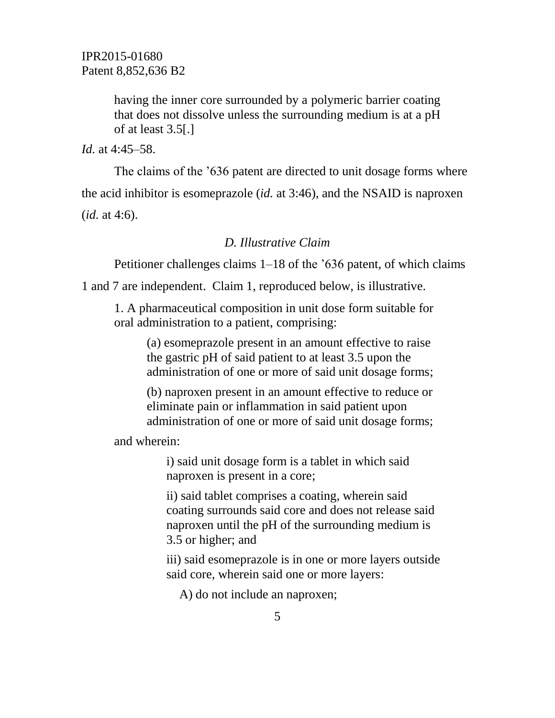having the inner core surrounded by a polymeric barrier coating that does not dissolve unless the surrounding medium is at a pH of at least 3.5[.]

*Id.* at 4:45–58.

The claims of the '636 patent are directed to unit dosage forms where the acid inhibitor is esomeprazole (*id.* at 3:46), and the NSAID is naproxen (*id.* at 4:6).

# *D. Illustrative Claim*

Petitioner challenges claims 1–18 of the '636 patent, of which claims

1 and 7 are independent. Claim 1, reproduced below, is illustrative.

1. A pharmaceutical composition in unit dose form suitable for oral administration to a patient, comprising:

> (a) esomeprazole present in an amount effective to raise the gastric pH of said patient to at least 3.5 upon the administration of one or more of said unit dosage forms;

> (b) naproxen present in an amount effective to reduce or eliminate pain or inflammation in said patient upon administration of one or more of said unit dosage forms;

and wherein:

i) said unit dosage form is a tablet in which said naproxen is present in a core;

ii) said tablet comprises a coating, wherein said coating surrounds said core and does not release said naproxen until the pH of the surrounding medium is 3.5 or higher; and

iii) said esomeprazole is in one or more layers outside said core, wherein said one or more layers:

A) do not include an naproxen;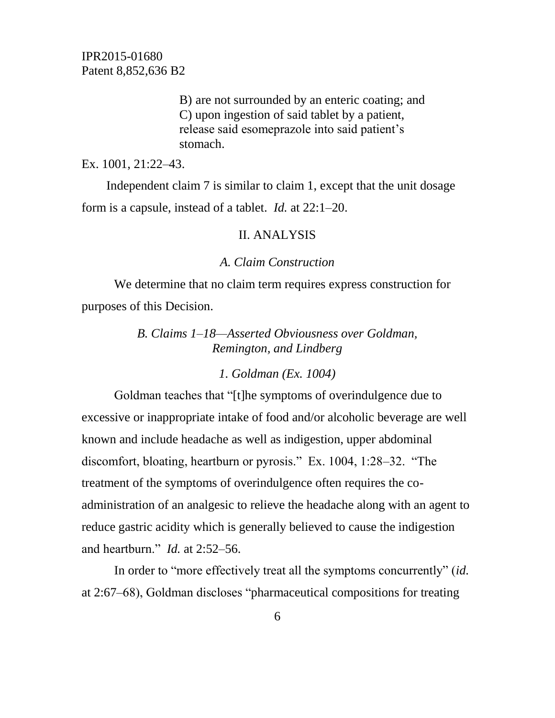> B) are not surrounded by an enteric coating; and C) upon ingestion of said tablet by a patient, release said esomeprazole into said patient's stomach.

Ex. 1001, 21:22–43.

Independent claim 7 is similar to claim 1, except that the unit dosage form is a capsule, instead of a tablet. *Id.* at 22:1–20.

#### II. ANALYSIS

#### *A. Claim Construction*

We determine that no claim term requires express construction for purposes of this Decision.

> *B. Claims 1–18—Asserted Obviousness over Goldman, Remington, and Lindberg*

> > *1. Goldman (Ex. 1004)*

Goldman teaches that "[t]he symptoms of overindulgence due to excessive or inappropriate intake of food and/or alcoholic beverage are well known and include headache as well as indigestion, upper abdominal discomfort, bloating, heartburn or pyrosis." Ex. 1004, 1:28–32. "The treatment of the symptoms of overindulgence often requires the coadministration of an analgesic to relieve the headache along with an agent to reduce gastric acidity which is generally believed to cause the indigestion and heartburn." *Id.* at 2:52–56.

In order to "more effectively treat all the symptoms concurrently" (*id.* at 2:67–68), Goldman discloses "pharmaceutical compositions for treating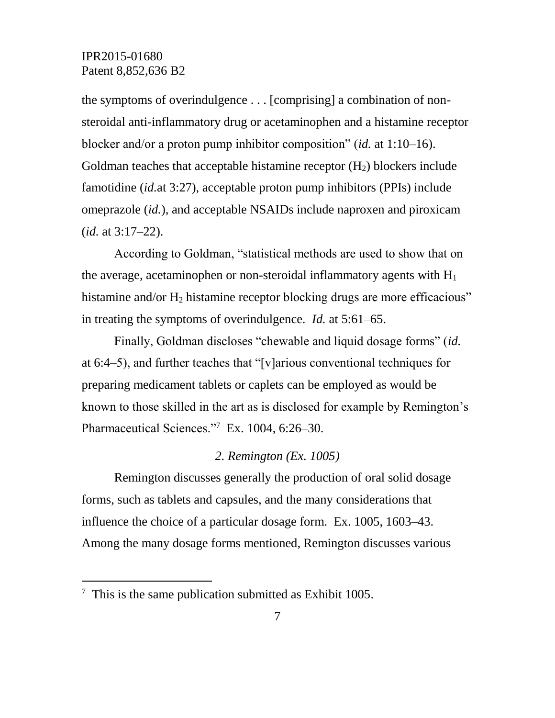the symptoms of overindulgence . . . [comprising] a combination of nonsteroidal anti-inflammatory drug or acetaminophen and a histamine receptor blocker and/or a proton pump inhibitor composition" (*id.* at 1:10–16). Goldman teaches that acceptable histamine receptor  $(H<sub>2</sub>)$  blockers include famotidine (*id.*at 3:27), acceptable proton pump inhibitors (PPIs) include omeprazole (*id.*), and acceptable NSAIDs include naproxen and piroxicam (*id.* at 3:17–22).

According to Goldman, "statistical methods are used to show that on the average, acetaminophen or non-steroidal inflammatory agents with  $H_1$ histamine and/or  $H_2$  histamine receptor blocking drugs are more efficacious" in treating the symptoms of overindulgence. *Id.* at 5:61–65.

Finally, Goldman discloses "chewable and liquid dosage forms" (*id.* at 6:4–5), and further teaches that "[v]arious conventional techniques for preparing medicament tablets or caplets can be employed as would be known to those skilled in the art as is disclosed for example by Remington's Pharmaceutical Sciences."<sup>7</sup> Ex. 1004, 6:26–30.

#### *2. Remington (Ex. 1005)*

Remington discusses generally the production of oral solid dosage forms, such as tablets and capsules, and the many considerations that influence the choice of a particular dosage form. Ex. 1005, 1603–43. Among the many dosage forms mentioned, Remington discusses various

l

 $7$  This is the same publication submitted as Exhibit 1005.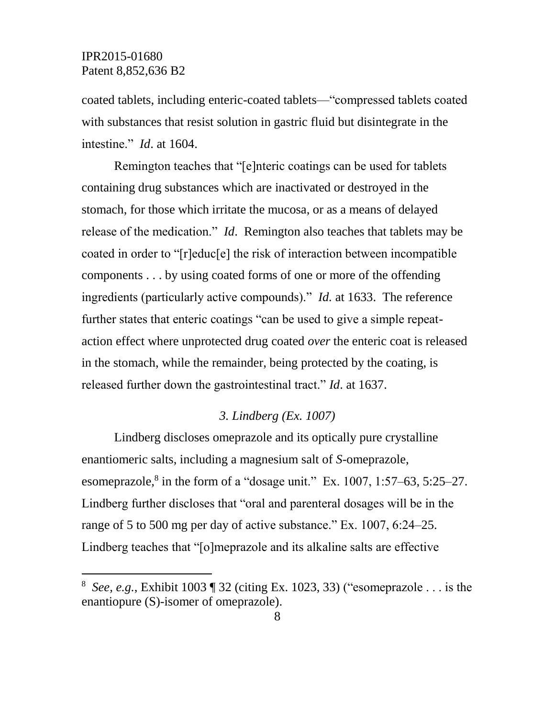$\overline{a}$ 

coated tablets, including enteric-coated tablets—"compressed tablets coated with substances that resist solution in gastric fluid but disintegrate in the intestine." *Id*. at 1604.

Remington teaches that "[e]nteric coatings can be used for tablets containing drug substances which are inactivated or destroyed in the stomach, for those which irritate the mucosa, or as a means of delayed release of the medication." *Id*. Remington also teaches that tablets may be coated in order to "[r]educ[e] the risk of interaction between incompatible components . . . by using coated forms of one or more of the offending ingredients (particularly active compounds)." *Id.* at 1633. The reference further states that enteric coatings "can be used to give a simple repeataction effect where unprotected drug coated *over* the enteric coat is released in the stomach, while the remainder, being protected by the coating, is released further down the gastrointestinal tract." *Id*. at 1637.

#### *3. Lindberg (Ex. 1007)*

Lindberg discloses omeprazole and its optically pure crystalline enantiomeric salts, including a magnesium salt of *S*-omeprazole, esomeprazole,<sup>8</sup> in the form of a "dosage unit." Ex. 1007, 1:57–63, 5:25–27. Lindberg further discloses that "oral and parenteral dosages will be in the range of 5 to 500 mg per day of active substance." Ex. 1007, 6:24–25. Lindberg teaches that "[o]meprazole and its alkaline salts are effective

<sup>8</sup> *See, e.g.*, Exhibit 1003 ¶ 32 (citing Ex. 1023, 33) ("esomeprazole . . . is the enantiopure (S)-isomer of omeprazole).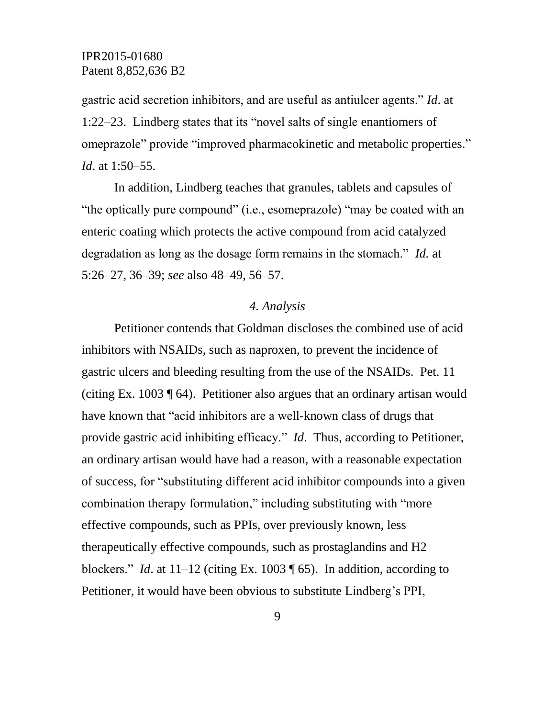gastric acid secretion inhibitors, and are useful as antiulcer agents." *Id*. at 1:22–23. Lindberg states that its "novel salts of single enantiomers of omeprazole" provide "improved pharmacokinetic and metabolic properties." *Id*. at 1:50–55.

In addition, Lindberg teaches that granules, tablets and capsules of "the optically pure compound" (i.e., esomeprazole) "may be coated with an enteric coating which protects the active compound from acid catalyzed degradation as long as the dosage form remains in the stomach." *Id.* at 5:26–27, 36–39; *see* also 48–49, 56–57.

#### *4. Analysis*

Petitioner contends that Goldman discloses the combined use of acid inhibitors with NSAIDs, such as naproxen, to prevent the incidence of gastric ulcers and bleeding resulting from the use of the NSAIDs. Pet. 11 (citing Ex. 1003 ¶ 64). Petitioner also argues that an ordinary artisan would have known that "acid inhibitors are a well-known class of drugs that provide gastric acid inhibiting efficacy." *Id*. Thus, according to Petitioner, an ordinary artisan would have had a reason, with a reasonable expectation of success, for "substituting different acid inhibitor compounds into a given combination therapy formulation," including substituting with "more effective compounds, such as PPIs, over previously known, less therapeutically effective compounds, such as prostaglandins and H2 blockers." *Id*. at 11–12 (citing Ex. 1003 ¶ 65). In addition, according to Petitioner, it would have been obvious to substitute Lindberg's PPI,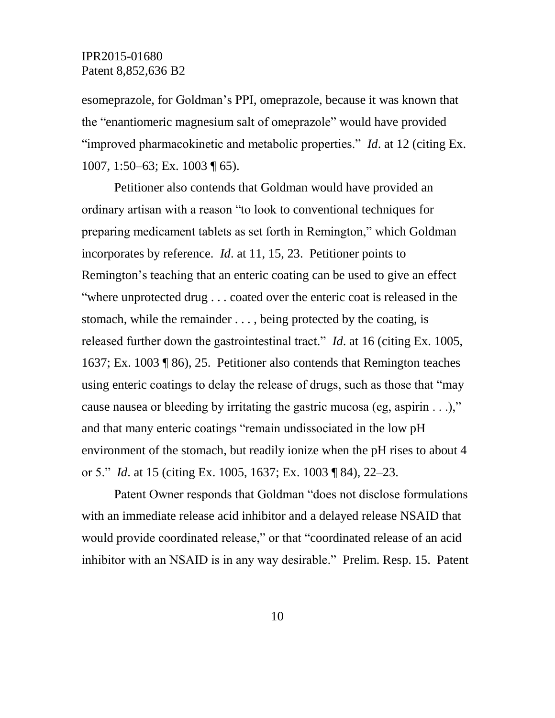esomeprazole, for Goldman's PPI, omeprazole, because it was known that the "enantiomeric magnesium salt of omeprazole" would have provided "improved pharmacokinetic and metabolic properties." *Id*. at 12 (citing Ex. 1007, 1:50–63; Ex. 1003 ¶ 65).

Petitioner also contends that Goldman would have provided an ordinary artisan with a reason "to look to conventional techniques for preparing medicament tablets as set forth in Remington," which Goldman incorporates by reference. *Id*. at 11, 15, 23. Petitioner points to Remington's teaching that an enteric coating can be used to give an effect "where unprotected drug . . . coated over the enteric coat is released in the stomach, while the remainder . . . , being protected by the coating, is released further down the gastrointestinal tract." *Id*. at 16 (citing Ex. 1005, 1637; Ex. 1003 ¶ 86), 25. Petitioner also contends that Remington teaches using enteric coatings to delay the release of drugs, such as those that "may cause nausea or bleeding by irritating the gastric mucosa (eg, aspirin . . .)," and that many enteric coatings "remain undissociated in the low pH environment of the stomach, but readily ionize when the pH rises to about 4 or 5." *Id*. at 15 (citing Ex. 1005, 1637; Ex. 1003 ¶ 84), 22–23.

Patent Owner responds that Goldman "does not disclose formulations with an immediate release acid inhibitor and a delayed release NSAID that would provide coordinated release," or that "coordinated release of an acid inhibitor with an NSAID is in any way desirable." Prelim. Resp. 15. Patent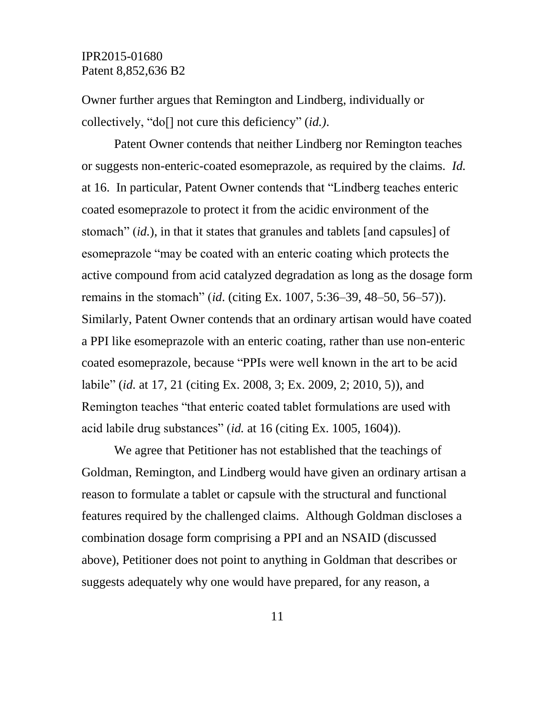Owner further argues that Remington and Lindberg, individually or collectively, "do[] not cure this deficiency" (*id.)*.

Patent Owner contends that neither Lindberg nor Remington teaches or suggests non-enteric-coated esomeprazole, as required by the claims. *Id.* at 16. In particular, Patent Owner contends that "Lindberg teaches enteric coated esomeprazole to protect it from the acidic environment of the stomach" (*id.*), in that it states that granules and tablets [and capsules] of esomeprazole "may be coated with an enteric coating which protects the active compound from acid catalyzed degradation as long as the dosage form remains in the stomach" (*id*. (citing Ex. 1007, 5:36–39, 48–50, 56–57)). Similarly, Patent Owner contends that an ordinary artisan would have coated a PPI like esomeprazole with an enteric coating, rather than use non-enteric coated esomeprazole, because "PPIs were well known in the art to be acid labile" (*id.* at 17, 21 (citing Ex. 2008, 3; Ex. 2009, 2; 2010, 5)), and Remington teaches "that enteric coated tablet formulations are used with acid labile drug substances" (*id.* at 16 (citing Ex. 1005, 1604)).

We agree that Petitioner has not established that the teachings of Goldman, Remington, and Lindberg would have given an ordinary artisan a reason to formulate a tablet or capsule with the structural and functional features required by the challenged claims. Although Goldman discloses a combination dosage form comprising a PPI and an NSAID (discussed above), Petitioner does not point to anything in Goldman that describes or suggests adequately why one would have prepared, for any reason, a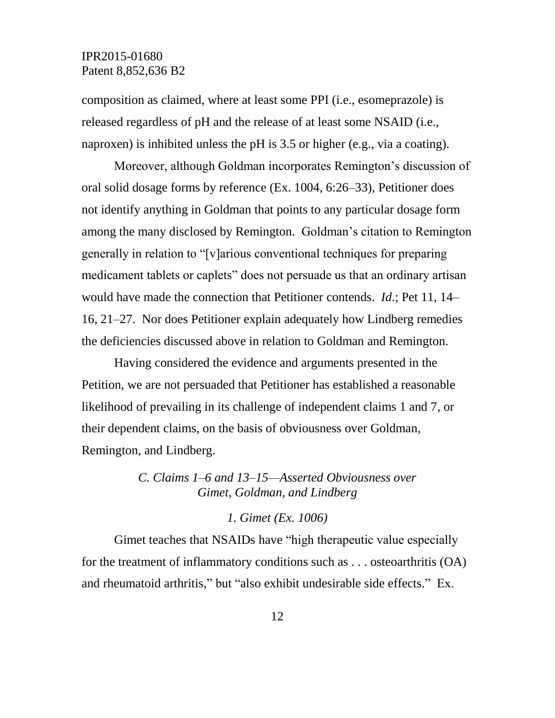composition as claimed, where at least some PPI (i.e., esomeprazole) is released regardless of pH and the release of at least some NSAID (i.e., naproxen) is inhibited unless the pH is 3.5 or higher (e.g., via a coating).

Moreover, although Goldman incorporates Remington's discussion of oral solid dosage forms by reference (Ex. 1004, 6:26–33), Petitioner does not identify anything in Goldman that points to any particular dosage form among the many disclosed by Remington. Goldman's citation to Remington generally in relation to "[v]arious conventional techniques for preparing medicament tablets or caplets" does not persuade us that an ordinary artisan would have made the connection that Petitioner contends. *Id*.; Pet 11, 14– 16, 21–27. Nor does Petitioner explain adequately how Lindberg remedies the deficiencies discussed above in relation to Goldman and Remington.

Having considered the evidence and arguments presented in the Petition, we are not persuaded that Petitioner has established a reasonable likelihood of prevailing in its challenge of independent claims 1 and 7, or their dependent claims, on the basis of obviousness over Goldman, Remington, and Lindberg.

> *C. Claims 1–6 and 13–15—Asserted Obviousness over Gimet, Goldman, and Lindberg*

> > *1. Gimet (Ex. 1006)*

Gimet teaches that NSAIDs have "high therapeutic value especially for the treatment of inflammatory conditions such as . . . osteoarthritis (OA) and rheumatoid arthritis," but "also exhibit undesirable side effects." Ex.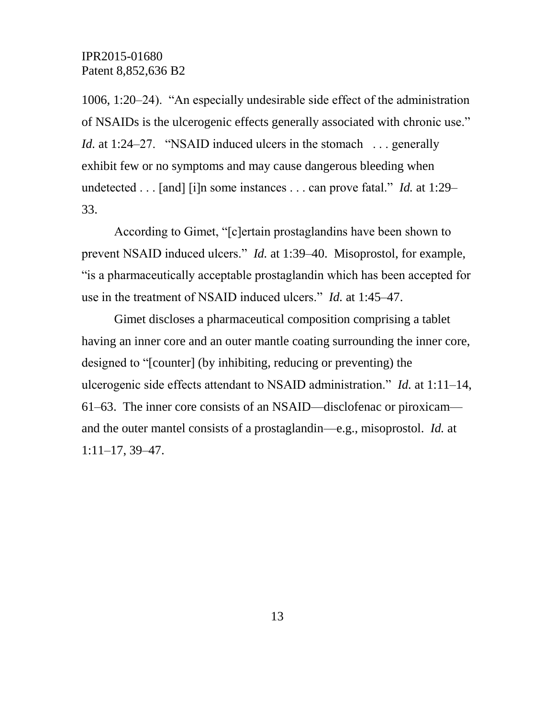1006, 1:20–24). "An especially undesirable side effect of the administration of NSAIDs is the ulcerogenic effects generally associated with chronic use." *Id.* at 1:24–27. "NSAID induced ulcers in the stomach ... generally exhibit few or no symptoms and may cause dangerous bleeding when undetected . . . [and] [i]n some instances . . . can prove fatal." *Id.* at 1:29– 33.

According to Gimet, "[c]ertain prostaglandins have been shown to prevent NSAID induced ulcers." *Id.* at 1:39–40. Misoprostol, for example, "is a pharmaceutically acceptable prostaglandin which has been accepted for use in the treatment of NSAID induced ulcers." *Id.* at 1:45–47.

Gimet discloses a pharmaceutical composition comprising a tablet having an inner core and an outer mantle coating surrounding the inner core, designed to "[counter] (by inhibiting, reducing or preventing) the ulcerogenic side effects attendant to NSAID administration." *Id.* at 1:11–14, 61–63. The inner core consists of an NSAID—disclofenac or piroxicam and the outer mantel consists of a prostaglandin—e.g., misoprostol. *Id.* at 1:11–17, 39–47.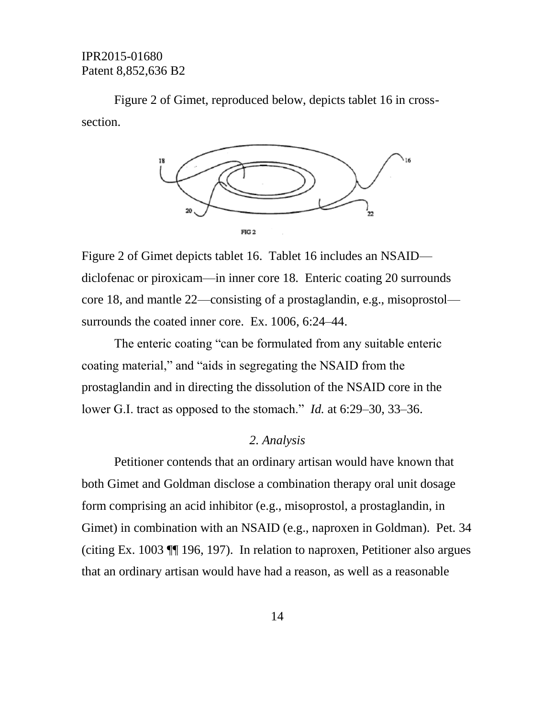Figure 2 of Gimet, reproduced below, depicts tablet 16 in crosssection.



Figure 2 of Gimet depicts tablet 16. Tablet 16 includes an NSAID diclofenac or piroxicam—in inner core 18. Enteric coating 20 surrounds core 18, and mantle 22—consisting of a prostaglandin, e.g., misoprostol surrounds the coated inner core. Ex. 1006, 6:24–44.

The enteric coating "can be formulated from any suitable enteric coating material," and "aids in segregating the NSAID from the prostaglandin and in directing the dissolution of the NSAID core in the lower G.I. tract as opposed to the stomach." *Id.* at 6:29–30, 33–36.

#### *2. Analysis*

Petitioner contends that an ordinary artisan would have known that both Gimet and Goldman disclose a combination therapy oral unit dosage form comprising an acid inhibitor (e.g., misoprostol, a prostaglandin, in Gimet) in combination with an NSAID (e.g., naproxen in Goldman). Pet. 34 (citing Ex. 1003 ¶¶ 196, 197). In relation to naproxen, Petitioner also argues that an ordinary artisan would have had a reason, as well as a reasonable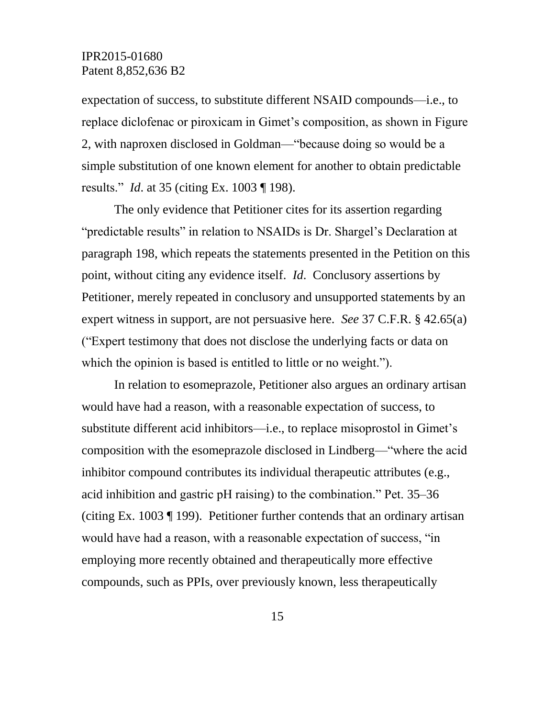expectation of success, to substitute different NSAID compounds—i.e., to replace diclofenac or piroxicam in Gimet's composition, as shown in Figure 2, with naproxen disclosed in Goldman—"because doing so would be a simple substitution of one known element for another to obtain predictable results." *Id*. at 35 (citing Ex. 1003 ¶ 198).

The only evidence that Petitioner cites for its assertion regarding "predictable results" in relation to NSAIDs is Dr. Shargel's Declaration at paragraph 198, which repeats the statements presented in the Petition on this point, without citing any evidence itself. *Id*. Conclusory assertions by Petitioner, merely repeated in conclusory and unsupported statements by an expert witness in support, are not persuasive here. *See* 37 C.F.R. § 42.65(a) ("Expert testimony that does not disclose the underlying facts or data on which the opinion is based is entitled to little or no weight.").

In relation to esomeprazole, Petitioner also argues an ordinary artisan would have had a reason, with a reasonable expectation of success, to substitute different acid inhibitors—i.e., to replace misoprostol in Gimet's composition with the esomeprazole disclosed in Lindberg—"where the acid inhibitor compound contributes its individual therapeutic attributes (e.g., acid inhibition and gastric pH raising) to the combination." Pet. 35–36 (citing Ex. 1003 ¶ 199). Petitioner further contends that an ordinary artisan would have had a reason, with a reasonable expectation of success, "in employing more recently obtained and therapeutically more effective compounds, such as PPIs, over previously known, less therapeutically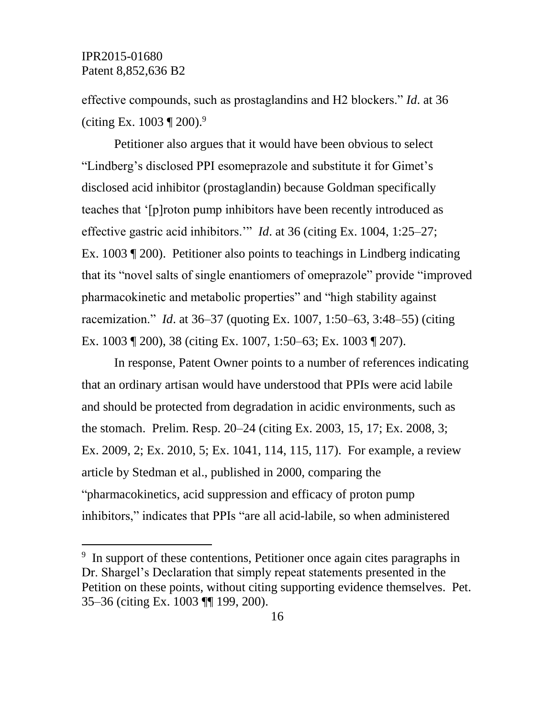l

effective compounds, such as prostaglandins and H2 blockers." *Id*. at 36 (citing Ex.  $1003 \text{ T } 200$ ).<sup>9</sup>

Petitioner also argues that it would have been obvious to select "Lindberg's disclosed PPI esomeprazole and substitute it for Gimet's disclosed acid inhibitor (prostaglandin) because Goldman specifically teaches that '[p]roton pump inhibitors have been recently introduced as effective gastric acid inhibitors.'" *Id*. at 36 (citing Ex. 1004, 1:25–27; Ex. 1003 ¶ 200). Petitioner also points to teachings in Lindberg indicating that its "novel salts of single enantiomers of omeprazole" provide "improved pharmacokinetic and metabolic properties" and "high stability against racemization." *Id*. at 36–37 (quoting Ex. 1007, 1:50–63, 3:48–55) (citing Ex. 1003 ¶ 200), 38 (citing Ex. 1007, 1:50–63; Ex. 1003 ¶ 207).

In response, Patent Owner points to a number of references indicating that an ordinary artisan would have understood that PPIs were acid labile and should be protected from degradation in acidic environments, such as the stomach. Prelim. Resp. 20–24 (citing Ex. 2003, 15, 17; Ex. 2008, 3; Ex. 2009, 2; Ex. 2010, 5; Ex. 1041, 114, 115, 117). For example, a review article by Stedman et al., published in 2000, comparing the "pharmacokinetics, acid suppression and efficacy of proton pump inhibitors," indicates that PPIs "are all acid-labile, so when administered

<sup>&</sup>lt;sup>9</sup> In support of these contentions, Petitioner once again cites paragraphs in Dr. Shargel's Declaration that simply repeat statements presented in the Petition on these points, without citing supporting evidence themselves. Pet. 35–36 (citing Ex. 1003 ¶¶ 199, 200).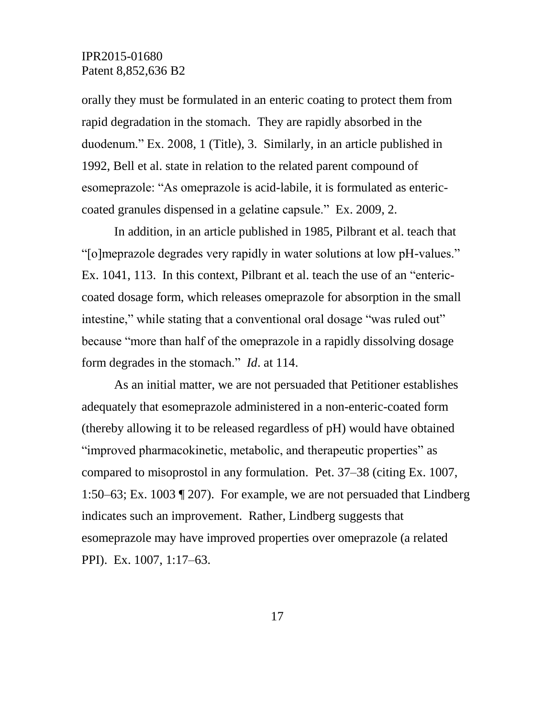orally they must be formulated in an enteric coating to protect them from rapid degradation in the stomach. They are rapidly absorbed in the duodenum." Ex. 2008, 1 (Title), 3. Similarly, in an article published in 1992, Bell et al. state in relation to the related parent compound of esomeprazole: "As omeprazole is acid-labile, it is formulated as entericcoated granules dispensed in a gelatine capsule." Ex. 2009, 2.

In addition, in an article published in 1985, Pilbrant et al. teach that "[o]meprazole degrades very rapidly in water solutions at low pH-values." Ex. 1041, 113. In this context, Pilbrant et al. teach the use of an "entericcoated dosage form, which releases omeprazole for absorption in the small intestine," while stating that a conventional oral dosage "was ruled out" because "more than half of the omeprazole in a rapidly dissolving dosage form degrades in the stomach." *Id*. at 114.

As an initial matter, we are not persuaded that Petitioner establishes adequately that esomeprazole administered in a non-enteric-coated form (thereby allowing it to be released regardless of pH) would have obtained "improved pharmacokinetic, metabolic, and therapeutic properties" as compared to misoprostol in any formulation. Pet. 37–38 (citing Ex. 1007, 1:50–63; Ex. 1003 ¶ 207). For example, we are not persuaded that Lindberg indicates such an improvement. Rather, Lindberg suggests that esomeprazole may have improved properties over omeprazole (a related PPI). Ex. 1007, 1:17–63.

17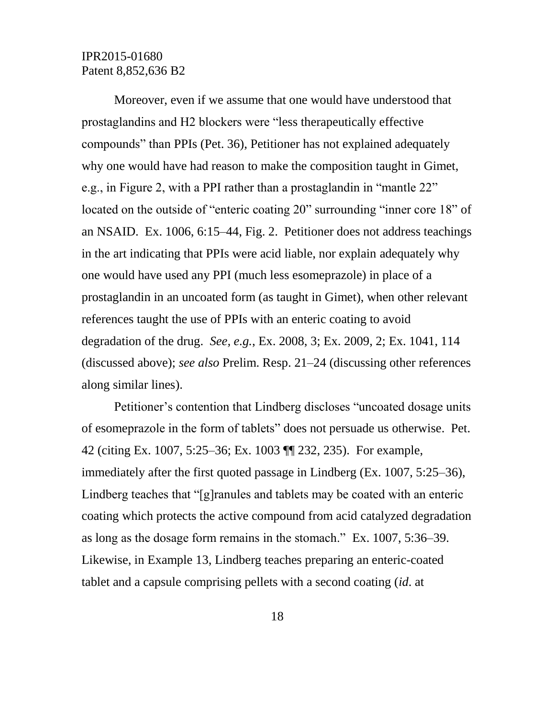Moreover, even if we assume that one would have understood that prostaglandins and H2 blockers were "less therapeutically effective compounds" than PPIs (Pet. 36), Petitioner has not explained adequately why one would have had reason to make the composition taught in Gimet, e.g., in Figure 2, with a PPI rather than a prostaglandin in "mantle 22" located on the outside of "enteric coating 20" surrounding "inner core 18" of an NSAID. Ex. 1006, 6:15–44, Fig. 2. Petitioner does not address teachings in the art indicating that PPIs were acid liable, nor explain adequately why one would have used any PPI (much less esomeprazole) in place of a prostaglandin in an uncoated form (as taught in Gimet), when other relevant references taught the use of PPIs with an enteric coating to avoid degradation of the drug. *See, e.g.*, Ex. 2008, 3; Ex. 2009, 2; Ex. 1041, 114 (discussed above); *see also* Prelim. Resp. 21–24 (discussing other references along similar lines).

Petitioner's contention that Lindberg discloses "uncoated dosage units of esomeprazole in the form of tablets" does not persuade us otherwise. Pet. 42 (citing Ex. 1007, 5:25–36; Ex. 1003 ¶¶ 232, 235). For example, immediately after the first quoted passage in Lindberg (Ex. 1007, 5:25–36), Lindberg teaches that "[g]ranules and tablets may be coated with an enteric coating which protects the active compound from acid catalyzed degradation as long as the dosage form remains in the stomach." Ex. 1007, 5:36–39. Likewise, in Example 13, Lindberg teaches preparing an enteric-coated tablet and a capsule comprising pellets with a second coating (*id*. at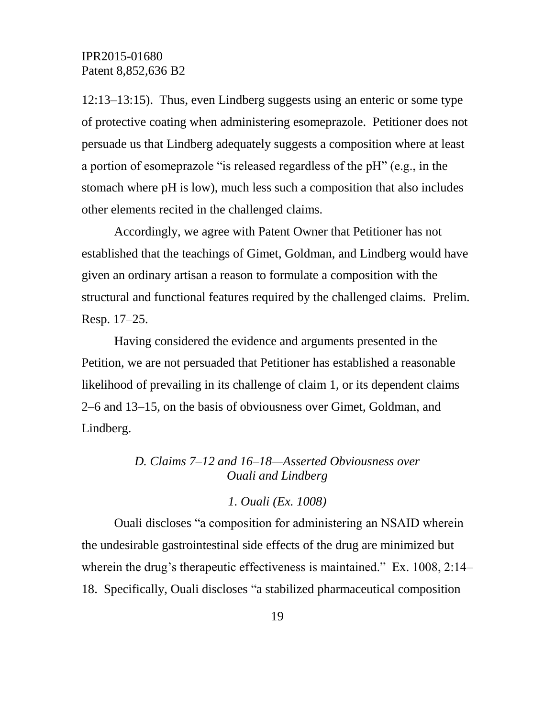12:13–13:15). Thus, even Lindberg suggests using an enteric or some type of protective coating when administering esomeprazole. Petitioner does not persuade us that Lindberg adequately suggests a composition where at least a portion of esomeprazole "is released regardless of the pH" (e.g., in the stomach where pH is low), much less such a composition that also includes other elements recited in the challenged claims.

Accordingly, we agree with Patent Owner that Petitioner has not established that the teachings of Gimet, Goldman, and Lindberg would have given an ordinary artisan a reason to formulate a composition with the structural and functional features required by the challenged claims. Prelim. Resp. 17–25.

Having considered the evidence and arguments presented in the Petition, we are not persuaded that Petitioner has established a reasonable likelihood of prevailing in its challenge of claim 1, or its dependent claims 2–6 and 13–15, on the basis of obviousness over Gimet, Goldman, and Lindberg.

# *D. Claims 7–12 and 16–18—Asserted Obviousness over Ouali and Lindberg*

#### *1. Ouali (Ex. 1008)*

Ouali discloses "a composition for administering an NSAID wherein the undesirable gastrointestinal side effects of the drug are minimized but wherein the drug's therapeutic effectiveness is maintained." Ex. 1008, 2:14– 18. Specifically, Ouali discloses "a stabilized pharmaceutical composition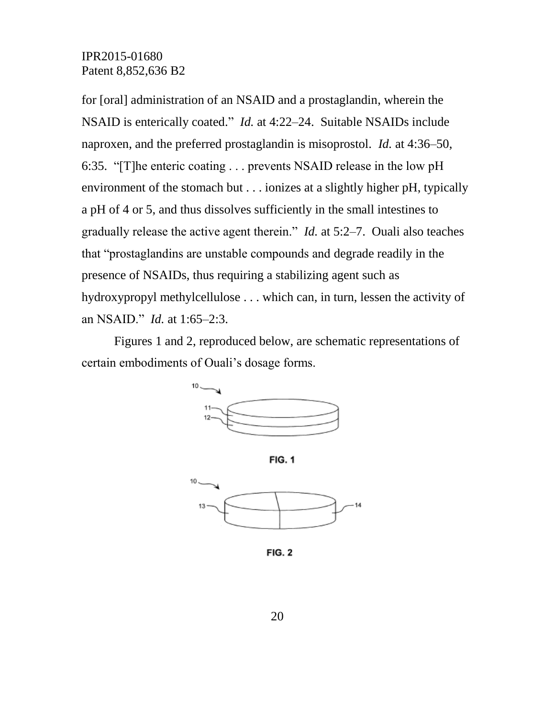for [oral] administration of an NSAID and a prostaglandin, wherein the NSAID is enterically coated." *Id.* at 4:22–24. Suitable NSAIDs include naproxen, and the preferred prostaglandin is misoprostol. *Id.* at 4:36–50, 6:35. "[T]he enteric coating . . . prevents NSAID release in the low pH environment of the stomach but . . . ionizes at a slightly higher pH, typically a pH of 4 or 5, and thus dissolves sufficiently in the small intestines to gradually release the active agent therein." *Id.* at 5:2–7. Ouali also teaches that "prostaglandins are unstable compounds and degrade readily in the presence of NSAIDs, thus requiring a stabilizing agent such as hydroxypropyl methylcellulose . . . which can, in turn, lessen the activity of an NSAID." *Id.* at 1:65–2:3.

Figures 1 and 2, reproduced below, are schematic representations of certain embodiments of Ouali's dosage forms.



**FIG. 1** 



**FIG. 2**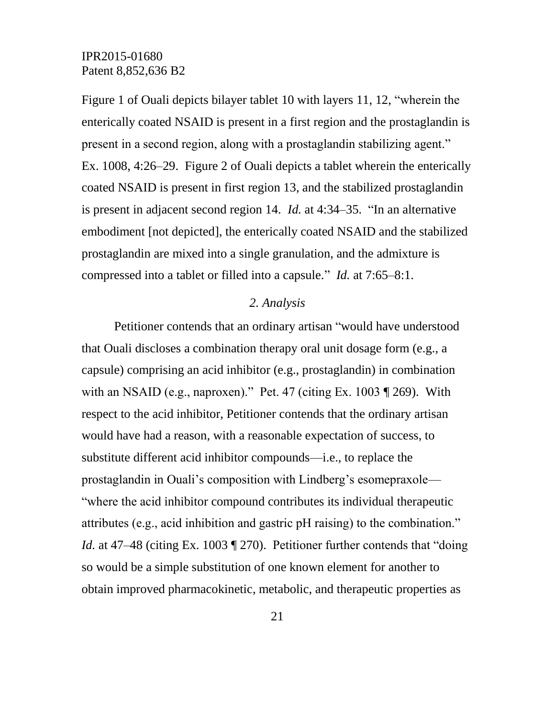Figure 1 of Ouali depicts bilayer tablet 10 with layers 11, 12, "wherein the enterically coated NSAID is present in a first region and the prostaglandin is present in a second region, along with a prostaglandin stabilizing agent." Ex. 1008, 4:26–29. Figure 2 of Ouali depicts a tablet wherein the enterically coated NSAID is present in first region 13, and the stabilized prostaglandin is present in adjacent second region 14. *Id.* at 4:34–35. "In an alternative embodiment [not depicted], the enterically coated NSAID and the stabilized prostaglandin are mixed into a single granulation, and the admixture is compressed into a tablet or filled into a capsule." *Id.* at 7:65–8:1.

#### *2. Analysis*

Petitioner contends that an ordinary artisan "would have understood that Ouali discloses a combination therapy oral unit dosage form (e.g., a capsule) comprising an acid inhibitor (e.g., prostaglandin) in combination with an NSAID (e.g., naproxen)." Pet. 47 (citing Ex. 1003 ¶ 269). With respect to the acid inhibitor, Petitioner contends that the ordinary artisan would have had a reason, with a reasonable expectation of success, to substitute different acid inhibitor compounds—i.e., to replace the prostaglandin in Ouali's composition with Lindberg's esomepraxole— "where the acid inhibitor compound contributes its individual therapeutic attributes (e.g., acid inhibition and gastric pH raising) to the combination." *Id.* at 47–48 (citing Ex. 1003 ¶ 270). Petitioner further contends that "doing so would be a simple substitution of one known element for another to obtain improved pharmacokinetic, metabolic, and therapeutic properties as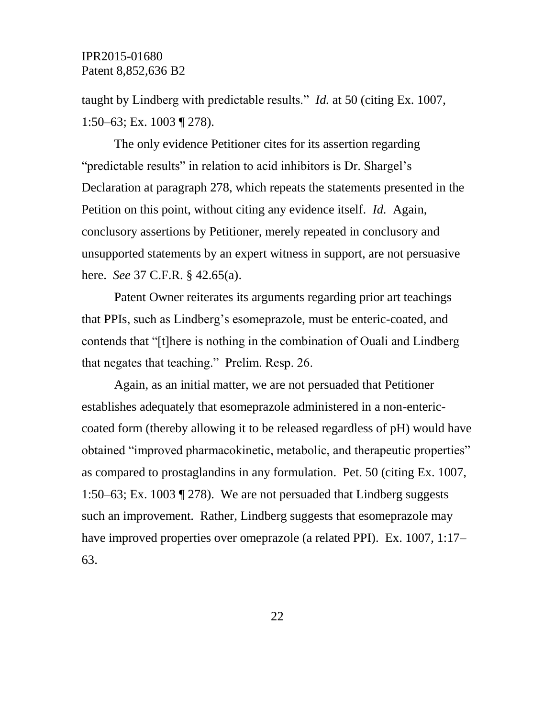taught by Lindberg with predictable results." *Id.* at 50 (citing Ex. 1007, 1:50–63; Ex. 1003 ¶ 278).

The only evidence Petitioner cites for its assertion regarding "predictable results" in relation to acid inhibitors is Dr. Shargel's Declaration at paragraph 278, which repeats the statements presented in the Petition on this point, without citing any evidence itself. *Id.* Again, conclusory assertions by Petitioner, merely repeated in conclusory and unsupported statements by an expert witness in support, are not persuasive here. *See* 37 C.F.R. § 42.65(a).

Patent Owner reiterates its arguments regarding prior art teachings that PPIs, such as Lindberg's esomeprazole, must be enteric-coated, and contends that "[t]here is nothing in the combination of Ouali and Lindberg that negates that teaching." Prelim. Resp. 26.

Again, as an initial matter, we are not persuaded that Petitioner establishes adequately that esomeprazole administered in a non-entericcoated form (thereby allowing it to be released regardless of pH) would have obtained "improved pharmacokinetic, metabolic, and therapeutic properties" as compared to prostaglandins in any formulation. Pet. 50 (citing Ex. 1007, 1:50–63; Ex. 1003 ¶ 278). We are not persuaded that Lindberg suggests such an improvement. Rather, Lindberg suggests that esomeprazole may have improved properties over omeprazole (a related PPI). Ex. 1007, 1:17– 63.

22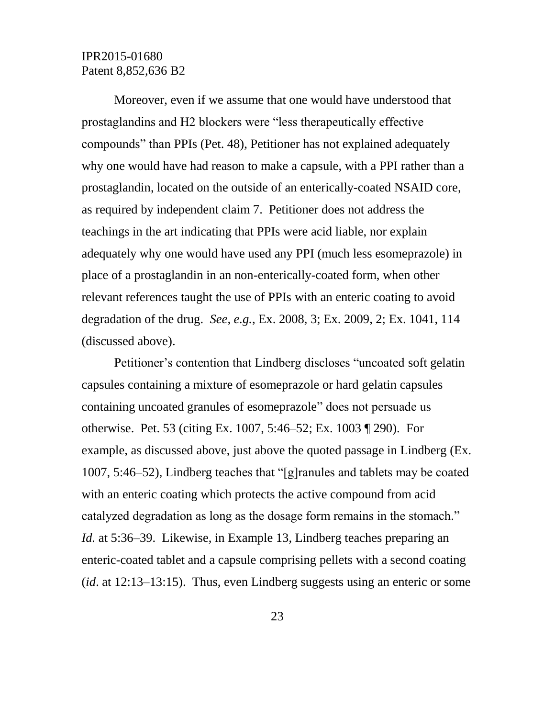Moreover, even if we assume that one would have understood that prostaglandins and H2 blockers were "less therapeutically effective compounds" than PPIs (Pet. 48), Petitioner has not explained adequately why one would have had reason to make a capsule, with a PPI rather than a prostaglandin, located on the outside of an enterically-coated NSAID core, as required by independent claim 7. Petitioner does not address the teachings in the art indicating that PPIs were acid liable, nor explain adequately why one would have used any PPI (much less esomeprazole) in place of a prostaglandin in an non-enterically-coated form, when other relevant references taught the use of PPIs with an enteric coating to avoid degradation of the drug. *See, e.g.*, Ex. 2008, 3; Ex. 2009, 2; Ex. 1041, 114 (discussed above).

Petitioner's contention that Lindberg discloses "uncoated soft gelatin capsules containing a mixture of esomeprazole or hard gelatin capsules containing uncoated granules of esomeprazole" does not persuade us otherwise. Pet. 53 (citing Ex. 1007, 5:46–52; Ex. 1003 ¶ 290). For example, as discussed above, just above the quoted passage in Lindberg (Ex. 1007, 5:46–52), Lindberg teaches that "[g]ranules and tablets may be coated with an enteric coating which protects the active compound from acid catalyzed degradation as long as the dosage form remains in the stomach." *Id.* at 5:36–39. Likewise, in Example 13, Lindberg teaches preparing an enteric-coated tablet and a capsule comprising pellets with a second coating (*id*. at 12:13–13:15). Thus, even Lindberg suggests using an enteric or some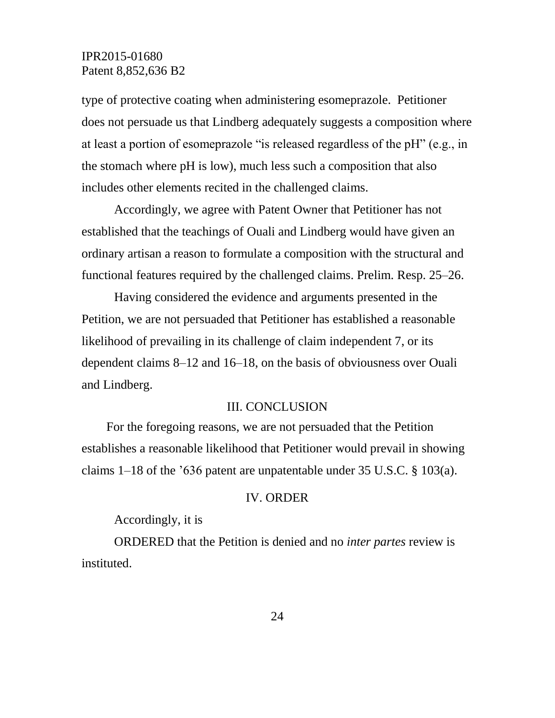type of protective coating when administering esomeprazole. Petitioner does not persuade us that Lindberg adequately suggests a composition where at least a portion of esomeprazole "is released regardless of the pH" (e.g., in the stomach where pH is low), much less such a composition that also includes other elements recited in the challenged claims.

Accordingly, we agree with Patent Owner that Petitioner has not established that the teachings of Ouali and Lindberg would have given an ordinary artisan a reason to formulate a composition with the structural and functional features required by the challenged claims. Prelim. Resp. 25–26.

Having considered the evidence and arguments presented in the Petition, we are not persuaded that Petitioner has established a reasonable likelihood of prevailing in its challenge of claim independent 7, or its dependent claims 8–12 and 16–18, on the basis of obviousness over Ouali and Lindberg.

#### III. CONCLUSION

For the foregoing reasons, we are not persuaded that the Petition establishes a reasonable likelihood that Petitioner would prevail in showing claims 1–18 of the '636 patent are unpatentable under 35 U.S.C. § 103(a).

#### IV. ORDER

Accordingly, it is

ORDERED that the Petition is denied and no *inter partes* review is instituted.